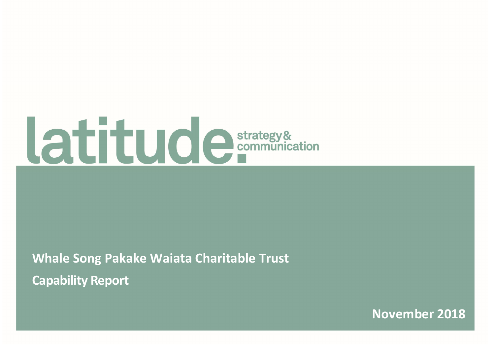# **Atitude** strategy&

Whale Song Pakake Waiata Charitable Trust Capability Report

November 2018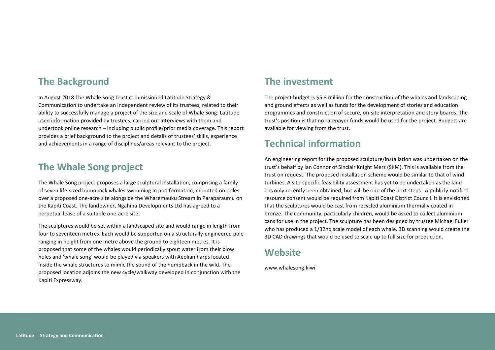## The Background

In August 2018 The Whale Song Trust commissioned Latitude Strategy & Communication to undertake an independent review of its trustees, related to their ability to successfully manage a project of the size and scale of Whale Song. Latitude used information provided by trustees, carried out interviews with them and undertook online research – including public profile/prior media coverage. This report provides a brief background to the project and details of trustees' skills, experience and achievements in a range of disciplines/areas relevant to the project.

## The Whale Song project

The Whale Song project proposes a large sculptural installation, comprising a family of seven life-sized humpback whales swimming in pod formation, mounted on poles over a proposed one-acre site alongside the Wharemauku Stream in Paraparaumu on the Kapiti Coast. The landowner, Ngahina Developments Ltd has agreed to a perpetual lease of a suitable one-acre site.

The sculptures would be set within a landscaped site and would range in length from four to seventeen metres. Each would be supported on a structurally-engineered pole ranging in height from one metre above the ground to eighteen metres. It is proposed that some of the whales would periodically spout water from their blow holes and 'whale song' would be played via speakers with Aeolian harps located inside the whale structures to mimic the sound of the humpback in the wild. The proposed location adjoins the new cycle/walkway developed in conjunction with the Kapiti Expressway.

## The investment

The project budget is \$5.3 million for the construction of the whales and landscaping and ground effects as well as funds for the development of stories and education programmes and construction of secure, on-site interpretation and story boards. The trust's position is that no ratepayer funds would be used for the project. Budgets are available for viewing from the trust.

## Technical information

An engineering report for the proposed sculpture/installation was undertaken on the trust's behalf by Ian Connor of Sinclair Knight Merz (SKM). This is available from the trust on request. The proposed installation scheme would be similar to that of wind turbines. A site-specific feasibility assessment has yet to be undertaken as the land has only recently been obtained, but will be one of the next steps. A publicly-notified resource consent would be required from Kapiti Coast District Council. It is envisioned that the sculptures would be cast from recycled aluminium thermally coated in bronze. The community, particularly children, would be asked to collect aluminium cans for use in the project. The sculpture has been designed by trustee Michael Fuller who has produced a 1/32nd scale model of each whale. 3D scanning would create the 3D CAD drawings that would be used to scale up to full size for production.

## **Website**

www.whalesong.kiwi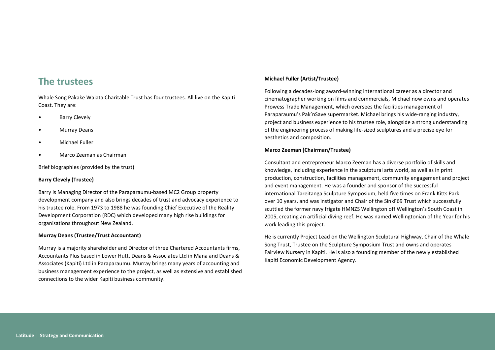### The trustees

Whale Song Pakake Waiata Charitable Trust has four trustees. All live on the Kapiti Coast. They are:

- Barry Clevely
- Murray Deans
- Michael Fuller
- Marco Zeeman as Chairman

Brief biographies (provided by the trust)

#### Barry Clevely (Trustee)

Barry is Managing Director of the Paraparaumu-based MC2 Group property development company and also brings decades of trust and advocacy experience to his trustee role. From 1973 to 1988 he was founding Chief Executive of the Reality Development Corporation (RDC) which developed many high rise buildings for organisations throughout New Zealand.

#### Murray Deans (Trustee/Trust Accountant)

Murray is a majority shareholder and Director of three Chartered Accountants firms, Accountants Plus based in Lower Hutt, Deans & Associates Ltd in Mana and Deans & Associates (Kapiti) Ltd in Paraparaumu. Murray brings many years of accounting and business management experience to the project, as well as extensive and established connections to the wider Kapiti business community.

#### Michael Fuller (Artist/Trustee)

Following a decades-long award-winning international career as a director and cinematographer working on films and commercials, Michael now owns and operates Prowess Trade Management, which oversees the facilities management of Paraparaumu's Pak'nSave supermarket. Michael brings his wide-ranging industry, project and business experience to his trustee role, alongside a strong understanding of the engineering process of making life-sized sculptures and a precise eye for aesthetics and composition.

#### Marco Zeeman (Chairman/Trustee)

Consultant and entrepreneur Marco Zeeman has a diverse portfolio of skills and knowledge, including experience in the sculptural arts world, as well as in print production, construction, facilities management, community engagement and project and event management. He was a founder and sponsor of the successful international Tareitanga Sculpture Symposium, held five times on Frank Kitts Park over 10 years, and was instigator and Chair of the SinkF69 Trust which successfully scuttled the former navy frigate HMNZS Wellington off Wellington's South Coast in 2005, creating an artificial diving reef. He was named Wellingtonian of the Year for his work leading this project.

He is currently Project Lead on the Wellington Sculptural Highway, Chair of the Whale Song Trust, Trustee on the Sculpture Symposium Trust and owns and operates Fairview Nursery in Kapiti. He is also a founding member of the newly established Kapiti Economic Development Agency.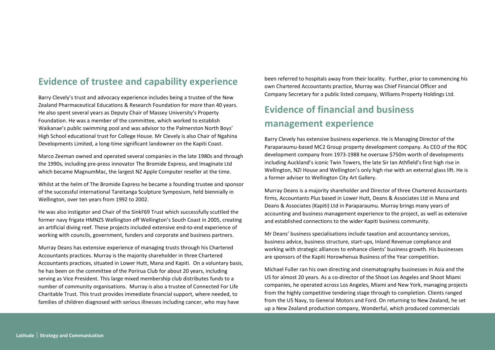## Evidence of trustee and capability experience

Barry Clevely's trust and advocacy experience includes being a trustee of the New Zealand Pharmaceutical Educations & Research Foundation for more than 40 years. He also spent several years as Deputy Chair of Massey University's Property Foundation. He was a member of the committee, which worked to establish Waikanae's public swimming pool and was advisor to the Palmerston North Boys' High School educational trust for College House. Mr Clevely is also Chair of Ngahina Developments Limited, a long-time significant landowner on the Kapiti Coast.

Marco Zeeman owned and operated several companies in the late 1980s and through the 1990s, including pre-press innovator The Bromide Express, and Imaginate Ltd which became MagnumMac, the largest NZ Apple Computer reseller at the time.

Whilst at the helm of The Bromide Express he became a founding trustee and sponsor of the successful international Tareitanga Sculpture Symposium, held biennially in Wellington, over ten years from 1992 to 2002.

He was also instigator and Chair of the SinkF69 Trust which successfully scuttled the former navy frigate HMNZS Wellington off Wellington's South Coast in 2005, creating an artificial diving reef. These projects included extensive end-to-end experience of working with councils, government, funders and corporate and business partners.

Murray Deans has extensive experience of managing trusts through his Chartered Accountants practices. Murray is the majority shareholder in three Chartered Accountants practices, situated in Lower Hutt, Mana and Kapiti. On a voluntary basis, he has been on the committee of the Porirua Club for about 20 years, including serving as Vice President. This large mixed membership club distributes funds to a number of community organisations. Murray is also a trustee of Connected For Life Charitable Trust. This trust provides immediate financial support, where needed, to families of children diagnosed with serious illnesses including cancer, who may have

been referred to hospitals away from their locality. Further, prior to commencing his own Chartered Accountants practice, Murray was Chief Financial Officer and Company Secretary for a public listed company, Williams Property Holdings Ltd.

# Evidence of financial and business management experience

Barry Clevely has extensive business experience. He is Managing Director of the Paraparaumu-based MC2 Group property development company. As CEO of the RDC development company from 1973-1988 he oversaw \$750m worth of developments including Auckland's iconic Twin Towers, the late Sir Ian Athfield's first high rise in Wellington, NZI House and Wellington's only high rise with an external glass lift. He is a former adviser to Wellington City Art Gallery.

Murray Deans is a majority shareholder and Director of three Chartered Accountants firms, Accountants Plus based in Lower Hutt, Deans & Associates Ltd in Mana and Deans & Associates (Kapiti) Ltd in Paraparaumu. Murray brings many years of accounting and business management experience to the project, as well as extensive and established connections to the wider Kapiti business community.

Mr Deans' business specialisations include taxation and accountancy services, business advice, business structure, start-ups, Inland Revenue compliance and working with strategic alliances to enhance clients' business growth. His businesses are sponsors of the Kapiti Horowhenua Business of the Year competition.

Michael Fuller ran his own directing and cinematography businesses in Asia and the US for almost 20 years. As a co-director of the Shoot Los Angeles and Shoot Miami companies, he operated across Los Angeles, Miami and New York, managing projects from the highly competitive tendering stage through to completion. Clients ranged from the US Navy, to General Motors and Ford. On returning to New Zealand, he set up a New Zealand production company, Wonderful, which produced commercials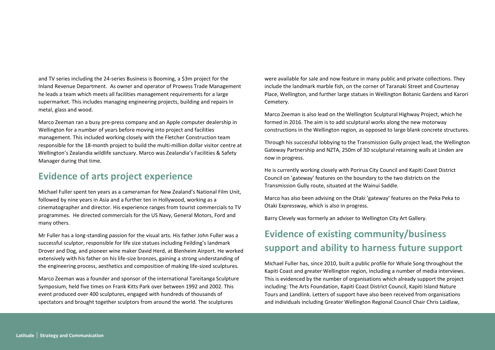and TV series including the 24-series Business is Booming, a \$3m project for the Inland Revenue Department. As owner and operator of Prowess Trade Management he leads a team which meets all facilities management requirements for a large supermarket. This includes managing engineering projects, building and repairs in metal, glass and wood.

Marco Zeeman ran a busy pre-press company and an Apple computer dealership in Wellington for a number of years before moving into project and facilities management. This included working closely with the Fletcher Construction team responsible for the 18-month project to build the multi-million dollar visitor centre at Wellington's Zealandia wildlife sanctuary. Marco was Zealandia's Facilities & Safety Manager during that time.

## Evidence of arts project experience

Michael Fuller spent ten years as a cameraman for New Zealand's National Film Unit, followed by nine years in Asia and a further ten in Hollywood, working as a cinematographer and director. His experience ranges from tourist commercials to TV programmes. He directed commercials for the US Navy, General Motors, Ford and many others.

Mr Fuller has a long-standing passion for the visual arts. His father John Fuller was a successful sculptor, responsible for life size statues including Feilding's landmark Drover and Dog, and pioneer wine maker David Herd, at Blenheim Airport. He worked extensively with his father on his life-size bronzes, gaining a strong understanding of the engineering process, aesthetics and composition of making life-sized sculptures.

Marco Zeeman was a founder and sponsor of the international Tareitanga Sculpture Symposium, held five times on Frank Kitts Park over between 1992 and 2002. This event produced over 400 sculptures, engaged with hundreds of thousands of spectators and brought together sculptors from around the world. The sculptures

were available for sale and now feature in many public and private collections. They include the landmark marble fish, on the corner of Taranaki Street and Courtenay Place, Wellington, and further large statues in Wellington Botanic Gardens and Karori Cemetery.

Marco Zeeman is also lead on the Wellington Sculptural Highway Project, which he formed in 2016. The aim is to add sculptural works along the new motorway constructions in the Wellington region, as opposed to large blank concrete structures.

Through his successful lobbying to the Transmission Gully project lead, the Wellington Gateway Partnership and NZTA, 250m of 3D sculptural retaining walls at Linden are now in progress.

He is currently working closely with Porirua City Council and Kapiti Coast District Council on 'gateway' features on the boundary to the two districts on the Transmission Gully route, situated at the Wainui Saddle.

Marco has also been advising on the Otaki 'gateway' features on the Peka Peka to Otaki Expressway, which is also in progress.

Barry Clevely was formerly an adviser to Wellington City Art Gallery.

# Evidence of existing community/business support and ability to harness future support

Michael Fuller has, since 2010, built a public profile for Whale Song throughout the Kapiti Coast and greater Wellington region, including a number of media interviews. This is evidenced by the number of organisations which already support the project including: The Arts Foundation, Kapiti Coast District Council, Kapiti Island Nature Tours and Landlink. Letters of support have also been received from organisations and individuals including Greater Wellington Regional Council Chair Chris Laidlaw,